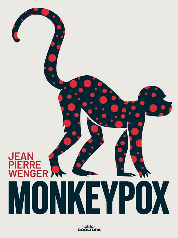

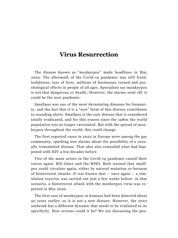## **Virus Resurrection**

The disease known as "monkeypox" made headlines in May 2022. The aftermath of the Covid-19 pandemic was still fresh: lockdowns, loss of lives, millions of businesses ruined and psychological effects in people of all ages. Specialists say monkeypox is not that dangerous or deadly. However, the alarms went off: it could be the next pandemic.

Smallpox was one of the most devastating diseases for humanity, and the fact that it is a "new" form of this disease contributes to sounding alerts. Smallpox is the only disease that is considered totally eradicated, and for this reason since the 1980s the world population was no longer vaccinated. But with the spread of monkeypox throughout the world, this could change.

The first reported cases in 2022 in Europe were among the gay community, sparking new alarms about the possibility of a sexually transmitted disease. That idea also reminded what had happened with HIV a few decades before.

Two of the main actors in the Covid-19 pandemic raised their voices again: Bill Gates and the WHO. Both warned that smallpox could circulate again, either by natural mutation or because of bioterrorist attacks. It was known that – once again – a simulation exercise was carried out just a few weeks before: in that scenario, a bioterrorist attack with the monkeypox virus was reported in May 2022.

The first case of monkeypox in humans had been detected about 50 years earlier, so it is not a new disease. However, the 2022 outbreak has a different dynamic that needs to be evaluated in its specificity. How serious could it be? We are discussing the pos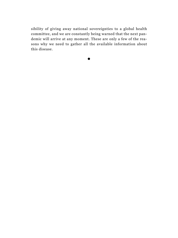sibility of giving away national sovereignties to a global health committee, and we are constantly being warned that the next pandemic will arrive at any moment. These are only a few of the reasons why we need to gather all the available information about this disease.